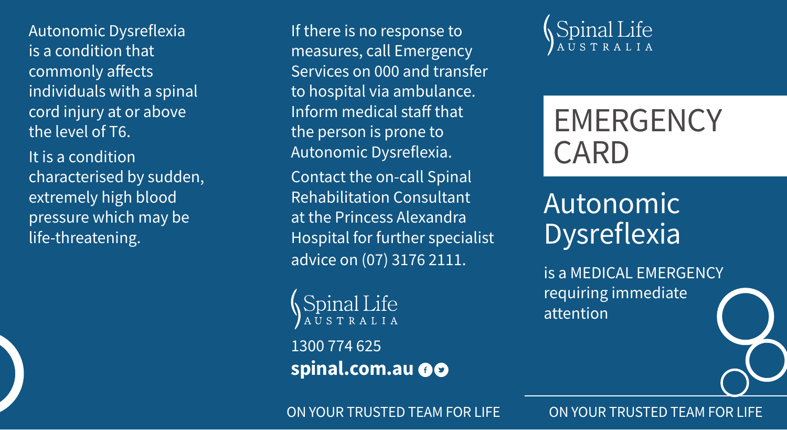Autonomic Dysreflexia is a condition that commonly affects individuals with a spinal cord injury at or above the level of T6.

It is a condition characterised by sudden, extremely high blood pressure which may be life-threatening.

If there is no response to measures, call Emergency Services on 000 and transfer to hospital via ambulance. Inform medical staff that the person is prone to Autonomic Dysreflexia.

Contact the on-call Spinal Rehabilitation Consultant at the Princess Alexandra Hospital for further specialist advice on (07) 3176 2111.

Spinal Life

1300 774 625 **spinal.com.au** 



# **EMERGENCY** CARD

## Autonomic **Dysreflexia**

is a MEDICAL EMERGENCY requiring immediate attention



ON YOUR TRUSTED TEAM FOR LIFE ON YOUR TRUSTED TEAM FOR LIFE